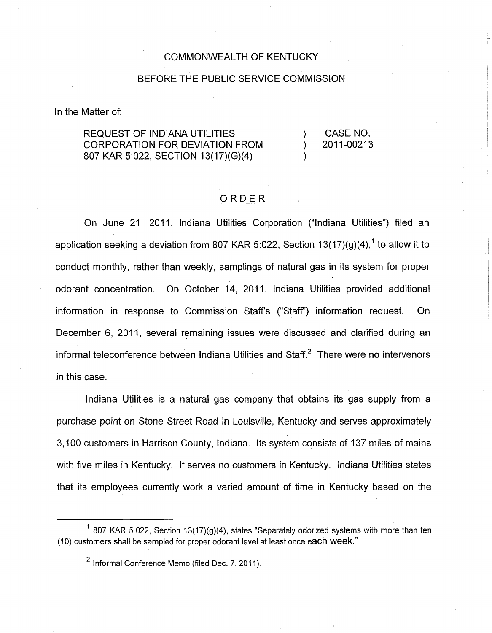## COMMONWEALTH OF KENTUCKY

## BEFORE THE PUBLIC SERVICE COMMISSION

In the Matter of:

## REQUEST OF INDIANA UTILITIES (CASE NO. CORPORATION FOR DEVIATION FROM ) 2011-00213 807 KAR 5:022, SECTION 13(17)(G)(4)

## ORDER

On June 21, 2011, Indiana Utilities Corporation ("Indiana Utilities") filed an application seeking a deviation from 807 KAR 5:022, Section  $13(17)(q)(4)$ ,<sup>1</sup> to allow it to conduct monthly, rather than weekly, samplings of natural gas in its system for proper odorant concentration. On October 14, 2011, Indiana Utilities provided additional information in response to Commission Staffs ("Staff") information request. On December 6, 2011, several remaining issues were discussed and clarified during an informal teleconference between Indiana Utilities and Staff **.2** There were no intervenors in this case.

Indiana Utilities is a natural gas company that obtains its gas supply from a purchase point on Stone Street Road in Louisville, Kentucky and serves approximately 3,100 customers in Harrison County, Indiana. Its system consists of 137 miles of mains with five miles in Kentucky. It serves no customers in Kentucky. Indiana Utilities states that its employees currently work a varied amount of time in Kentucky based on the

<sup>&</sup>lt;sup>1</sup> 807 KAR 5:022, Section 13(17)(g)(4), states "Separately odorized systems with more than ten (IO) customers shall be sampled for proper odorant level at least once each week."

 $<sup>2</sup>$  Informal Conference Memo (filed Dec. 7, 2011).</sup>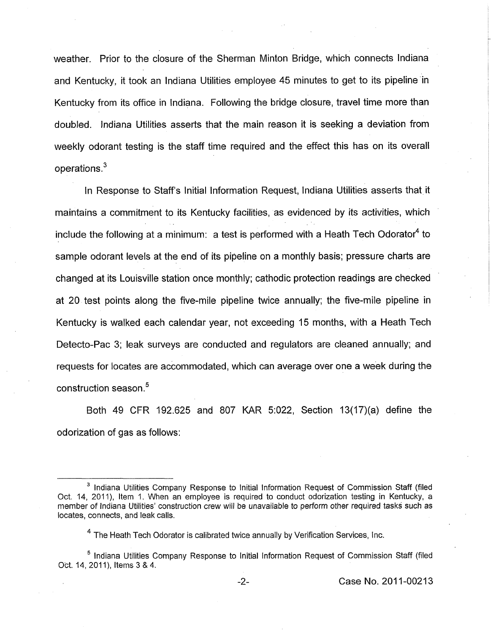weather. Prior to the closure of the Sherman Minton Bridge, which connects Indiana and Kentucky, it took an Indiana Utilities employee 45 minutes to get to its pipeline in Kentucky from its office in Indiana. Following the bridge closure, travel time more than doubled. Indiana Utilities asserts that the main reason it is seeking a deviation from weekly odorant testing is the staff time required and the effect this has on its overall operations. $3$ 

In Response to Staff's Initial Information Request, Indiana Utilities asserts that it maintains a commitment to its Kentucky facilities, as evidenced by its activities, which include the following at a minimum: a test is performed with a Heath Tech Odorator<sup>4</sup> to sample odorant levels at the end of its pipeline on a monthly basis; pressure charts are changed at its Louisville station once monthly; cathodic protection readings are checked at 20 test points along the five-mile pipeline twice annually; the five-mile pipeline in Kentucky is walked each calendar year, not exceeding 15 months, with a Heath Tech Detecto-Pac 3; leak surveys are conducted and regulators are cleaned annually; and requests for locates are accommodated, which can average over one a week during the construction season **.5** 

Both 49 CFR 192.625 and 807 KAR 5:022, Section 13(17)(a) define the odorization of gas as follows:

<sup>&</sup>lt;sup>3</sup> Indiana Utilities Company Response to Initial Information Request of Commission Staff (filed Oct. 14, 2011), Item 1. When an employee is required to conduct odorization testing in Kentucky, a member of Indiana Utilities' construction crew will be unavailable to perform other required tasks such as locates, connects, and leak calls.

 $<sup>4</sup>$  The Heath Tech Odorator is calibrated twice annually by Verification Services, Inc.</sup>

<sup>&</sup>lt;sup>5</sup> Indiana Utilities Company Response to Initial Information Request of Commission Staff (filed Oct. 14, 2011), Items 3 & 4.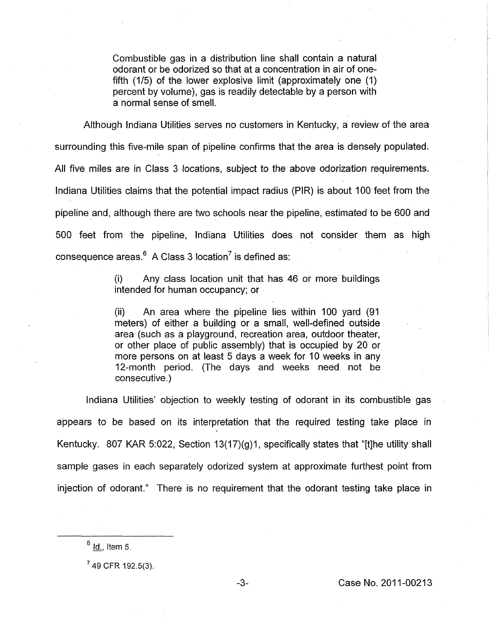Combustible gas in a distribution line shall contain a natural odorant or be odorized so that at a concentration in air of onefifth (1/5) of the lower explosive limit (approximately one (1) percent by volume), gas is readily detectable by a person with a normal sense of smell.

Although Indiana Utilities serves no customers in Kentucky, a review of the area surrounding this five-mile span of pipeline confirms that the area is densely populated. All five miles are in Class 3 locations, subject to the above odorization requirements. Indiana Utilities claims that the potential impact radius (PIR) is about 100 feet from the pipeline and, although there are two schools near the pipeline, estimated to be 600 and 500 feet from the pipeline, Indiana Utilities does not consider them as high consequence areas. $6$  A Class 3 location<sup>7</sup> is defined as:

> (i) intended for human occupancy; or Any class location unit that has 46 or more buildings

> (ii) An area where the pipeline lies within 100 yard (91 meters) of either a building or a small, well-defined outside area (such as a playground, recreation area, outdoor theater, or other place of public assembly) that is occupied by 20 or more persons on at least 5 days a week for 10 weeks in any 12-month period. (The days and weeks need not be consecutive. )

Indiana Utilities' objection to weekly testing of odorant in its combustible gas appears to be based on its interpretation that the required testing take place in Kentucky. 807 KAR 5:022, Section 13(17)(g)1, specifically states that "[t]he utility shall sample gases in each separately odorized system at approximate furthest point from injection of odorant." There is no requirement that the odorant testing take place in

**<sup>-1</sup>** *~ci Item* 5.

 $7$  49 CFR 192.5(3).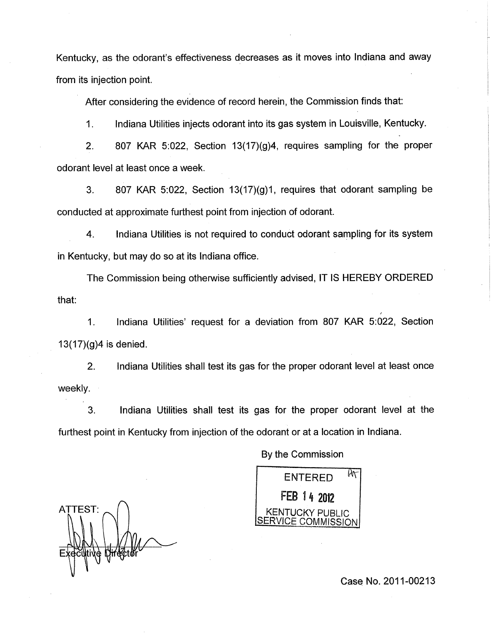Kentucky, as the odorant's effectiveness decreases as it moves into Indiana and away from its injection point.

After considering the evidence of record herein, the Commission finds that:

 $\frac{1}{1}$ . Indiana Utilities injects odorant into its gas system in Louisville, Kentucky.

2. 807 KAR 5:022, Section  $13(17)(g)4$ , requires sampling for the proper odorant level at least once a week.

3. 807 KAR 5:022, Section  $13(17)(q)1$ , requires that odorant sampling be conducted at approximate furthest point from injection of odorant.

4. Indiana Utilities is not required to conduct odorant sampling for its system in Kentucky, but may **do** so at its Indiana office.

The Commission being otherwise sufficiently advised, IT IS HEREBY ORDERED that:

I. Indiana Utilities' request for a deviation from 807 KAR 5:022, Section  $13(17)(g)4$  is denied.

2. Indiana Utilities shall test its gas for the proper odorant level at least once weekly.

3. Indiana Utilities shall test its gas for the proper odorant level at the furthest point in Kentucky from injection of the odorant or at a location in Indiana.

 $ENTERED$   $\frac{\rho_{\text{A}}}{\sigma_{\text{B}}}$ FEB 14 2012 **KENTUCKY PUBLIC** SERVICE COMMISSION

ATTEST:

By the Commission